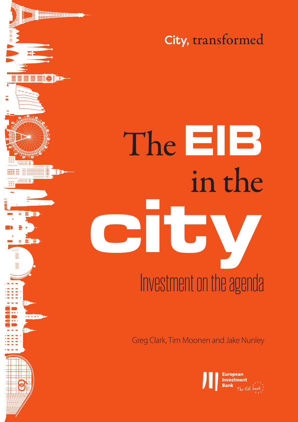City, transformed

# The EIB in the city Investment on the agenda

Greg Clark, Tim Moonen and Jake Nunley

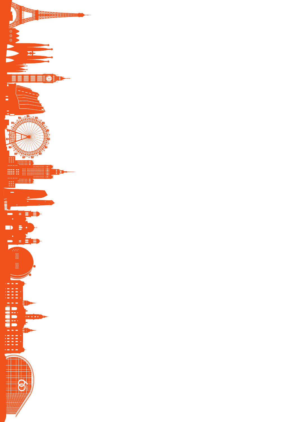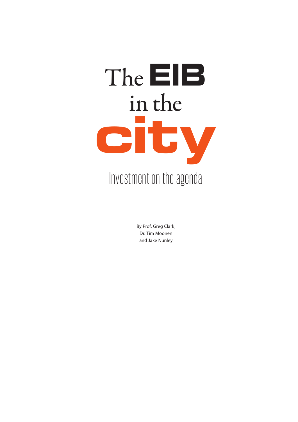

By Prof. Greg Clark, Dr. Tim Moonen and Jake Nunley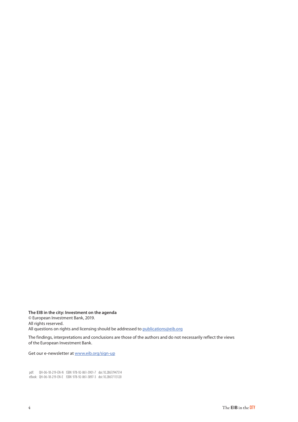**The EIB in the city: Investment on the agenda** © European Investment Bank, 2019. All rights reserved. All questions on rights and licensing should be addressed to [publications@eib.org](http://publications@eib.org)

The findings, interpretations and conclusions are those of the authors and do not necessarily reflect the views of the European Investment Bank.

Get our e-newsletter at [www.eib.org/sign-up](http://www.eib.org/sign-up)

pdf: QH-06-18-219-EN-N ISBN 978-92-861-3901-7 doi:10.2867/947514 eBook: QH-06-18-219-EN-E ISBN 978-92-861-3897-3 doi:10.2867/113120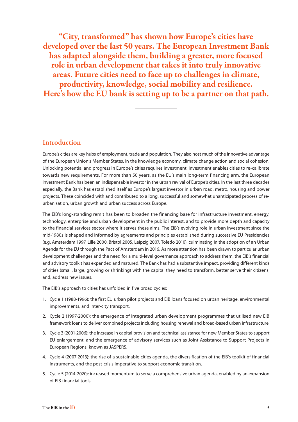"City, transformed" has shown how Europe's cities have developed over the last 50 years. The European Investment Bank has adapted alongside them, building a greater, more focused role in urban development that takes it into truly innovative areas. Future cities need to face up to challenges in climate, productivity, knowledge, social mobility and resilience. Here's how the EU bank is setting up to be a partner on that path.

# **Introduction**

Europe's cities are key hubs of employment, trade and population. They also host much of the innovative advantage of the European Union's Member States, in the knowledge economy, climate change action and social cohesion. Unlocking potential and progress in Europe's cities requires investment. Investment enables cities to re-calibrate towards new requirements. For more than 50 years, as the EU's main long-term financing arm, the European Investment Bank has been an indispensable investor in the urban revival of Europe's cities. In the last three decades especially, the Bank has established itself as Europe's largest investor in urban road, metro, housing and power projects. These coincided with and contributed to a long, successful and somewhat unanticipated process of reurbanisation, urban growth and urban success across Europe.

The EIB's long-standing remit has been to broaden the financing base for infrastructure investment, energy, technology, enterprise and urban development in the public interest, and to provide more depth and capacity to the financial services sector where it serves these aims. The EIB's evolving role in urban investment since the mid-1980s is shaped and informed by agreements and principles established during successive EU Presidencies (e.g. Amsterdam 1997, Lille 2000, Bristol 2005, Leipzig 2007, Toledo 2010), culminating in the adoption of an Urban Agenda for the EU through the Pact of Amsterdam in 2016. As more attention has been drawn to particular urban development challenges and the need for a multi-level governance approach to address them, the EIB's financial and advisory toolkit has expanded and matured. The Bank has had a substantive impact, providing different kinds of cities (small, large, growing or shrinking) with the capital they need to transform, better serve their citizens, and, address new issues.

The EIB's approach to cities has unfolded in five broad cycles:

- 1. Cycle 1 (1988-1996): the first EU urban pilot projects and EIB loans focused on urban heritage, environmental improvements, and inter-city transport.
- 2. Cycle 2 (1997-2000): the emergence of integrated urban development programmes that utilised new EIB framework loans to deliver combined projects including housing renewal and broad-based urban infrastructure.
- 3. Cycle 3 (2001-2006): the increase in capital provision and technical assistance for new Member States to support EU enlargement, and the emergence of advisory services such as Joint Assistance to Support Projects in European Regions, known as JASPERS.
- 4. Cycle 4 (2007-2013): the rise of a sustainable cities agenda, the diversification of the EIB's toolkit of financial instruments, and the post-crisis imperative to support economic transition.
- 5. Cycle 5 (2014-2020): increased momentum to serve a comprehensive urban agenda, enabled by an expansion of EIB financial tools.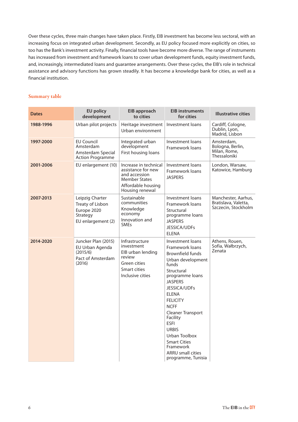Over these cycles, three main changes have taken place. Firstly, EIB investment has become less sectoral, with an increasing focus on integrated urban development. Secondly, as EU policy focused more explicitly on cities, so too has the Bank's investment activity. Finally, financial tools have become more diverse. The range of instruments has increased from investment and framework loans to cover urban development funds, equity investment funds, and, increasingly, intermediated loans and guarantee arrangements. Over these cycles, the EIB's role in technical assistance and advisory functions has grown steadily. It has become a knowledge bank for cities, as well as a financial institution.

## Summary table

| <b>Dates</b> | <b>EU policy</b><br>development                                                      | EIB approach<br>to cities                                                                                                     | <b>EIB</b> instruments<br>for cities                                                                                                                                                                                                                                                                                                                                                                   | <b>Illustrative cities</b>                                         |
|--------------|--------------------------------------------------------------------------------------|-------------------------------------------------------------------------------------------------------------------------------|--------------------------------------------------------------------------------------------------------------------------------------------------------------------------------------------------------------------------------------------------------------------------------------------------------------------------------------------------------------------------------------------------------|--------------------------------------------------------------------|
| 1988-1996    | Urban pilot projects                                                                 | Heritage investment<br>Urban environment                                                                                      | Investment loans                                                                                                                                                                                                                                                                                                                                                                                       | Cardiff, Cologne,<br>Dublin, Lyon,<br>Madrid, Lisbon               |
| 1997-2000    | <b>EU Council</b><br>Amsterdam<br>Amsterdam Special<br><b>Action Programme</b>       | Integrated urban<br>development<br>First housing loans                                                                        | Investment loans<br>Framework loans                                                                                                                                                                                                                                                                                                                                                                    | Amsterdam,<br>Bologna, Berlin,<br>Milan, Rome,<br>Thessaloniki     |
| 2001-2006    | EU enlargement (10)                                                                  | Increase in technical<br>assistance for new<br>and accession<br><b>Member States</b><br>Affordable housing<br>Housing renewal | Investment loans<br>Framework loans<br><b>JASPERS</b>                                                                                                                                                                                                                                                                                                                                                  | London, Warsaw,<br>Katowice, Hamburg                               |
| 2007-2013    | Leipzig Charter<br>Treaty of Lisbon<br>Europe 2020<br>Strategy<br>EU enlargement (2) | Sustainable<br>communities<br>Knowledge<br>economy<br>Innovation and<br><b>SMEs</b>                                           | Investment loans<br>Framework loans<br>Structural<br>programme loans<br><b>JASPERS</b><br><b>JESSICA/UDFs</b><br><b>ELENA</b>                                                                                                                                                                                                                                                                          | Manchester, Aarhus,<br>Bratislava, Valetta,<br>Szczecin, Stockholm |
| 2014-2020    | Juncker Plan (2015)<br>EU Urban Agenda<br>(2015/6)<br>Pact of Amsterdam<br>(2016)    | Infrastructure<br>investment<br>EIB urban lending<br>review<br>Green cities<br>Smart cities<br>Inclusive cities               | Investment loans<br>Framework loans<br><b>Brownfield funds</b><br>Urban development<br>funds<br>Structural<br>programme loans<br><b>JASPERS</b><br><b>JESSICA/UDFs</b><br><b>ELENA</b><br><b>FELICITY</b><br><b>NCFF</b><br><b>Cleaner Transport</b><br>Facility<br><b>ESFI</b><br><b>URBIS</b><br>Urban Toolbox<br><b>Smart Cities</b><br>Framework<br><b>ARRU</b> small cities<br>programme, Tunisia | Athens, Rouen,<br>Sofia, Wałbrzych,<br>Zenata                      |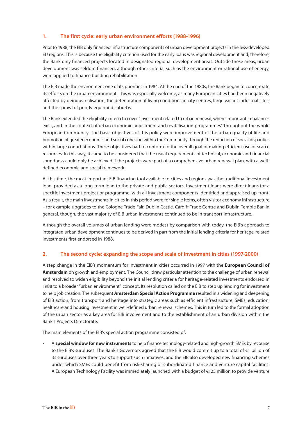# **1. The first cycle: early urban environment efforts (1988-1996)**

Prior to 1988, the EIB only financed infrastructure components of urban development projects in the less-developed EU regions. This is because the eligibility criterion used for the early loans was regional development and, therefore, the Bank only financed projects located in designated regional development areas. Outside these areas, urban development was seldom financed, although other criteria, such as the environment or rational use of energy, were applied to finance building rehabilitation.

The EIB made the environment one of its priorities in 1984. At the end of the 1980s, the Bank began to concentrate its efforts on the urban environment. This was especially welcome, as many European cities had been negatively affected by deindustrialisation, the deterioration of living conditions in city centres, large vacant industrial sites, and the sprawl of poorly equipped suburbs.

The Bank extended the eligibility criteria to cover "investment related to urban renewal, where important imbalances exist, and in the context of urban economic adjustment and revitalisation programmes" throughout the whole European Community. The basic objectives of this policy were improvement of the urban quality of life and promotion of greater economic and social cohesion within the Community through the reduction of social disparities within large conurbations. These objectives had to conform to the overall goal of making efficient use of scarce resources. In this way, it came to be considered that the usual requirements of technical, economic and financial soundness could only be achieved if the projects were part of a comprehensive urban renewal plan, with a welldefined economic and social framework.

At this time, the most important EIB financing tool available to cities and regions was the traditional investment loan, provided as a long-term loan to the private and public sectors. Investment loans were direct loans for a specific investment project or programme, with all investment components identified and appraised up-front. As a result, the main investments in cities in this period were for single items, often visitor economy infrastructure – for example upgrades to the Cologne Trade Fair, Dublin Castle, Cardiff Trade Centre and Dublin Temple Bar. In general, though, the vast majority of EIB urban investments continued to be in transport infrastructure.

Although the overall volumes of urban lending were modest by comparison with today, the EIB's approach to integrated urban development continues to be derived in part from the initial lending criteria for heritage-related investments first endorsed in 1988.

# **2. The second cycle: expanding the scope and scale of investment in cities (1997-2000)**

A step change in the EIB's momentum for investment in cities occurred in 1997 with the **European Council of Amsterdam** on growth and employment. The Council drew particular attention to the challenge of urban renewal and resolved to widen eligibility beyond the initial lending criteria for heritage-related investments endorsed in 1988 to a broader "urban environment" concept. Its resolution called on the EIB to step up lending for investment to help job creation. The subsequent **Amsterdam Special Action Programme** resulted in a widening and deepening of EIB action, from transport and heritage into strategic areas such as efficient infrastructure, SMEs, education, healthcare and housing investment in well-defined urban renewal schemes. This in turn led to the formal adoption of the urban sector as a key area for EIB involvement and to the establishment of an urban division within the Bank's Projects Directorate.

The main elements of the EIB's special action programme consisted of:

• A **special window for new instruments** to help finance technology-related and high-growth SMEs by recourse to the EIB's surpluses. The Bank's Governors agreed that the EIB would commit up to a total of €1 billion of its surpluses over three years to support such initiatives, and the EIB also developed new financing schemes under which SMEs could benefit from risk-sharing or subordinated finance and venture capital facilities. A European Technology Facility was immediately launched with a budget of €125 million to provide venture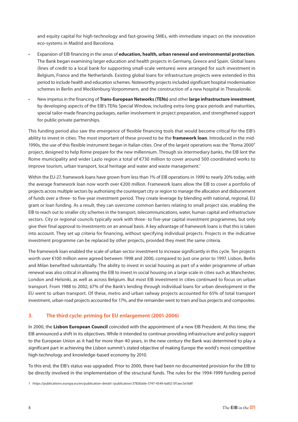and equity capital for high-technology and fast-growing SMEs, with immediate impact on the innovation eco-systems in Madrid and Barcelona.

- Expansion of EIB financing in the areas of **education, health, urban renewal and environmental protection**. The Bank began examining larger education and health projects in Germany, Greece and Spain. Global loans (lines of credit to a local bank for supporting small-scale ventures) were arranged for such investment in Belgium, France and the Netherlands. Existing global loans for infrastructure projects were extended in this period to include health and education schemes. Noteworthy projects included significant hospital modernisation schemes in Berlin and Mecklenburg-Vorpommern, and the construction of a new hospital in Thessaloniki.
- New impetus in the financing of **Trans-European Networks (TENs)** and other **large infrastructure investment**, by developing aspects of the EIB's TENs Special Window, including extra-long grace periods and maturities, special tailor-made financing packages, earlier involvement in project preparation, and strengthened support for public-private partnerships.

This funding period also saw the emergence of flexible financing tools that would become critical for the EIB's ability to invest in cities. The most important of these proved to be the **framework loan**. Introduced in the mid-1990s, the use of this flexible instrument began in Italian cities. One of the largest operations was the "Roma 2000" project, designed to help Rome prepare for the new millennium. Through six intermediary banks, the EIB lent the Rome municipality and wider Lazio region a total of €730 million to cover around 500 coordinated works to improve tourism, urban transport, local heritage and water and waste management.<sup>1</sup>

Within the EU-27, framework loans have grown from less than 1% of EIB operations in 1999 to nearly 20% today, with the average framework loan now worth over €200 million. Framework loans allow the EIB to cover a portfolio of projects across multiple sectors by authorising the counterpart city or region to manage the allocation and disbursement of funds over a three- to five-year investment period. They create leverage by blending with national, regional, EU grant or loan funding. As a result, they can overcome common barriers relating to small project size, enabling the EIB to reach out to smaller city schemes in the transport, telecommunications, water, human capital and infrastructure sectors. City or regional councils typically work with three- to five-year capital investment programmes, but only give their final approval to investments on an annual basis. A key advantage of framework loans is that this is taken into account. They set up criteria for financing, without specifying individual projects. Projects in the indicative investment programme can be replaced by other projects, provided they meet the same criteria.

The framework loan enabled the scale of urban sector investment to increase significantly in this cycle. Ten projects worth over €100 million were agreed between 1998 and 2000, compared to just one prior to 1997. Lisbon, Berlin and Milan benefited substantially. The ability to invest in social housing as part of a wider programme of urban renewal was also critical in allowing the EIB to invest in social housing on a large scale in cities such as Manchester, London and Helsinki, as well as across Belgium. But most EIB investment in cities continued to focus on urban transport. From 1988 to 2002, 67% of the Bank's lending through individual loans for urban development in the EU went to urban transport. Of these, metro and urban railway projects accounted for 65% of total transport investment, urban road projects accounted for 17%, and the remainder went to tram and bus projects and composites.

# **3. The third cycle: priming for EU enlargement (2001-2006)**

In 2000, the **Lisbon European Council** coincided with the appointment of a new EIB President. At this time, the EIB announced a shift in its objectives. While it intended to continue providing infrastructure and policy support to the European Union as it had for more than 40 years, in the new century the Bank was determined to play a significant part in achieving the Lisbon summit's stated objective of making Europe the world's most competitive high-technology and knowledge-based economy by 2010.

To this end, the EIB's status was upgraded. Prior to 2000, there had been no documented provision for the EIB to be directly involved in the implementation of the structural funds. The rules for the 1994-1999 funding period

1 https://publications.europa.eu/en/publication-detail/-/publication/37830a0e-5747-4549-bd02-3f1aec3e1b8f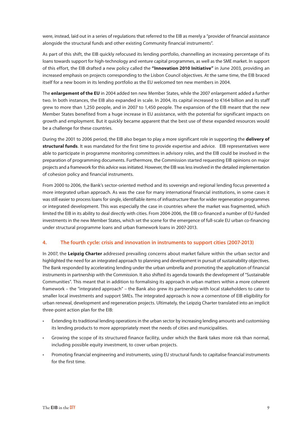were, instead, laid out in a series of regulations that referred to the EIB as merely a "provider of financial assistance alongside the structural funds and other existing Community financial instruments".

As part of this shift, the EIB quickly refocused its lending portfolio, channelling an increasing percentage of its loans towards support for high-technology and venture capital programmes, as well as the SME market. In support of this effort, the EIB drafted a new policy called the **"Innovation 2010 Initiative"** in June 2003, providing an increased emphasis on projects corresponding to the Lisbon Council objectives. At the same time, the EIB braced itself for a new boom in its lending portfolio as the EU welcomed ten new members in 2004.

The **enlargement of the EU** in 2004 added ten new Member States, while the 2007 enlargement added a further two. In both instances, the EIB also expanded in scale. In 2004, its capital increased to €164 billion and its staff grew to more than 1,250 people, and in 2007 to 1,450 people. The expansion of the EIB meant that the new Member States benefited from a huge increase in EU assistance, with the potential for significant impacts on growth and employment. But it quickly became apparent that the best use of these expanded resources would be a challenge for these countries.

During the 2001 to 2006 period, the EIB also began to play a more significant role in supporting the **delivery of structural funds**. It was mandated for the first time to provide expertise and advice. EIB representatives were able to participate in programme monitoring committees in advisory roles, and the EIB could be involved in the preparation of programming documents. Furthermore, the Commission started requesting EIB opinions on major projects and a framework for this advice was initiated. However, the EIB was less involved in the detailed implementation of cohesion policy and financial instruments.

From 2000 to 2006, the Bank's sector-oriented method and its sovereign and regional lending focus prevented a more integrated urban approach. As was the case for many international financial institutions, in some cases it was still easier to process loans for single, identifiable items of infrastructure than for wider regeneration programmes or integrated development. This was especially the case in countries where the market was fragmented, which limited the EIB in its ability to deal directly with cities. From 2004-2006, the EIB co-financed a number of EU-funded investments in the new Member States, which set the scene for the emergence of full-scale EU urban co-financing under structural programme loans and urban framework loans in 2007-2013.

## **4. The fourth cycle: crisis and innovation in instruments to support cities (2007-2013)**

In 2007, the **Leipzig Charter** addressed prevailing concerns about market failure within the urban sector and highlighted the need for an integrated approach to planning and development in pursuit of sustainability objectives. The Bank responded by accelerating lending under the urban umbrella and promoting the application of financial instruments in partnership with the Commission. It also shifted its agenda towards the development of "Sustainable Communities". This meant that in addition to formalising its approach in urban matters within a more coherent framework – the "integrated approach" – the Bank also grew its partnership with local stakeholders to cater to smaller local investments and support SMEs. The integrated approach is now a cornerstone of EIB eligibility for urban renewal, development and regeneration projects. Ultimately, the Leipzig Charter translated into an implicit three-point action plan for the EIB:

- Extending its traditional lending operations in the urban sector by increasing lending amounts and customising its lending products to more appropriately meet the needs of cities and municipalities.
- Growing the scope of its structured finance facility, under which the Bank takes more risk than normal, including possible equity investment, to cover urban projects.
- Promoting financial engineering and instruments, using EU structural funds to capitalise financial instruments for the first time.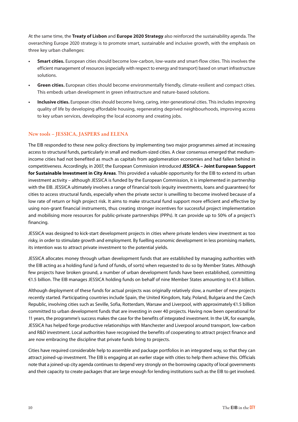At the same time, the **Treaty of Lisbon** and **Europe 2020 Strategy** also reinforced the sustainability agenda. The overarching Europe 2020 strategy is to promote smart, sustainable and inclusive growth, with the emphasis on three key urban challenges:

- **• Smart cities.** European cities should become low-carbon, low-waste and smart-flow cities. This involves the efficient management of resources (especially with respect to energy and transport) based on smart infrastructure solutions.
- **• Green cities.** European cities should become environmentally friendly, climate-resilient and compact cities. This embeds urban development in green infrastructure and nature-based solutions.
- **• Inclusive cities.** European cities should become living, caring, inter-generational cities. This includes improving quality of life by developing affordable housing, regenerating deprived neighbourhoods, improving access to key urban services, developing the local economy and creating jobs.

## New tools – JESSICA, JASPERS and ELENA

The EIB responded to these new policy directions by implementing two major programmes aimed at increasing access to structural funds, particularly in small and medium-sized cities. A clear consensus emerged that mediumincome cities had not benefited as much as capitals from agglomeration economies and had fallen behind in competitiveness. Accordingly, in 2007, the European Commission introduced **JESSICA – Joint European Support for Sustainable Investment in City Areas**. This provided a valuable opportunity for the EIB to extend its urban investment activity – although JESSICA is funded by the European Commission, it is implemented in partnership with the EIB. JESSICA ultimately involves a range of financial tools (equity investments, loans and guarantees) for cities to access structural funds, especially when the private sector is unwilling to become involved because of a low rate of return or high project risk. It aims to make structural fund support more efficient and effective by using non-grant financial instruments, thus creating stronger incentives for successful project implementation and mobilising more resources for public-private partnerships (PPPs). It can provide up to 50% of a project's financing.

JESSICA was designed to kick-start development projects in cities where private lenders view investment as too risky, in order to stimulate growth and employment. By fuelling economic development in less promising markets, its intention was to attract private investment to the potential yields.

JESSICA allocates money through urban development funds that are established by managing authorities with the EIB acting as a holding fund (a fund of funds, of sorts) when requested to do so by Member States. Although few projects have broken ground, a number of urban development funds have been established, committing €1.5 billion. The EIB manages JESSICA holding funds on behalf of nine Member States amounting to €1.8 billion.

Although deployment of these funds for actual projects was originally relatively slow, a number of new projects recently started. Participating countries include Spain, the United Kingdom, Italy, Poland, Bulgaria and the Czech Republic, involving cities such as Seville, Sofia, Rotterdam, Warsaw and Liverpool, with approximately €1.5 billion committed to urban development funds that are investing in over 40 projects. Having now been operational for 11 years, the programme's success makes the case for the benefits of integrated investment. In the UK, for example, JESSICA has helped forge productive relationships with Manchester and Liverpool around transport, low-carbon and R&D investment. Local authorities have recognised the benefits of cooperating to attract project finance and are now embracing the discipline that private funds bring to projects.

Cities have required considerable help to assemble and package portfolios in an integrated way, so that they can attract joined-up investment. The EIB is engaging at an earlier stage with cities to help them achieve this. Officials note that a joined-up city agenda continues to depend very strongly on the borrowing capacity of local governments and their capacity to create packages that are large enough for lending institutions such as the EIB to get involved.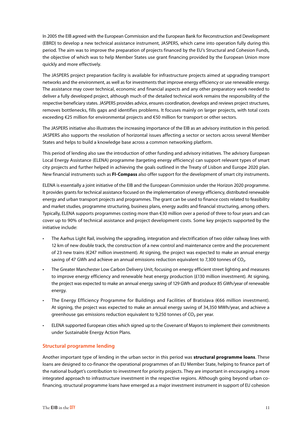In 2005 the EIB agreed with the European Commission and the European Bank for Reconstruction and Development (EBRD) to develop a new technical assistance instrument, JASPERS, which came into operation fully during this period. The aim was to improve the preparation of projects financed by the EU's Structural and Cohesion Funds, the objective of which was to help Member States use grant financing provided by the European Union more quickly and more effectively.

The JASPERS project preparation facility is available for infrastructure projects aimed at upgrading transport networks and the environment, as well as for investments that improve energy efficiency or use renewable energy. The assistance may cover technical, economic and financial aspects and any other preparatory work needed to deliver a fully developed project, although much of the detailed technical work remains the responsibility of the respective beneficiary states. JASPERS provides advice, ensures coordination, develops and reviews project structures, removes bottlenecks, fills gaps and identifies problems. It focuses mainly on larger projects, with total costs exceeding €25 million for environmental projects and €50 million for transport or other sectors.

The JASPERS initiative also illustrates the increasing importance of the EIB as an advisory institution in this period. JASPERS also supports the resolution of horizontal issues affecting a sector or sectors across several Member States and helps to build a knowledge base across a common networking platform.

This period of lending also saw the introduction of other funding and advisory initiatives. The advisory European Local Energy Assistance (ELENA) programme (targeting energy efficiency) can support relevant types of smart city projects and further helped in achieving the goals outlined in the Treaty of Lisbon and Europe 2020 plan. New financial instruments such as **FI-Compass** also offer support for the development of smart city instruments.

ELENA is essentially a joint initiative of the EIB and the European Commission under the Horizon 2020 programme. It provides grants for technical assistance focused on the implementation of energy efficiency, distributed renewable energy and urban transport projects and programmes. The grant can be used to finance costs related to feasibility and market studies, programme structuring, business plans, energy audits and financial structuring, among others. Typically, ELENA supports programmes costing more than €30 million over a period of three to four years and can cover up to 90% of technical assistance and project development costs. Some key projects supported by the initiative include:

- The Aarhus Light Rail, involving the upgrading, integration and electrification of two older railway lines with 12 km of new double track, the construction of a new control and maintenance centre and the procurement of 23 new trains (€247 million investment). At signing, the project was expected to make an annual energy saving of 47 GWh and achieve an annual emissions reduction equivalent to 7,300 tonnes of  $CO<sub>2</sub>$ .
- The Greater Manchester Low Carbon Delivery Unit, focusing on energy efficient street lighting and measures to improve energy efficiency and renewable heat energy production (£130 million investment). At signing, the project was expected to make an annual energy saving of 129 GWh and produce 85 GWh/year of renewable energy.
- The Energy Efficiency Programme for Buildings and Facilities of Bratislava (€66 million investment). At signing, the project was expected to make an annual energy saving of 34,350 MWh/year, and achieve a greenhouse gas emissions reduction equivalent to  $9,250$  tonnes of  $CO<sub>2</sub>$  per year.
- ELENA supported European cities which signed up to the Covenant of Mayors to implement their commitments under Sustainable Energy Action Plans.

# **Structural programme lending**

Another important type of lending in the urban sector in this period was **structural programme loans**. These loans are designed to co-finance the operational programmes of an EU Member State, helping to finance part of the national budget's contribution to investment for priority projects. They are important in encouraging a more integrated approach to infrastructure investment in the respective regions. Although going beyond urban cofinancing, structural programme loans have emerged as a major investment instrument in support of EU cohesion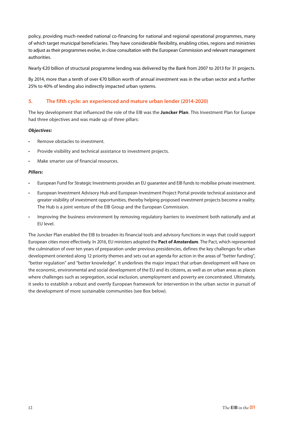policy, providing much-needed national co-financing for national and regional operational programmes, many of which target municipal beneficiaries. They have considerable flexibility, enabling cities, regions and ministries to adjust as their programmes evolve, in close consultation with the European Commission and relevant management authorities.

Nearly €20 billion of structural programme lending was delivered by the Bank from 2007 to 2013 for 31 projects.

By 2014, more than a tenth of over €70 billion worth of annual investment was in the urban sector and a further 25% to 40% of lending also indirectly impacted urban systems.

## **5. The fifth cycle: an experienced and mature urban lender (2014-2020)**

The key development that influenced the role of the EIB was the **Juncker Plan**. This Investment Plan for Europe had three objectives and was made up of three pillars:

#### *Objectives:*

- Remove obstacles to investment.
- Provide visibility and technical assistance to investment projects.
- Make smarter use of financial resources.

#### *Pillars:*

- European Fund for Strategic Investments provides an EU guarantee and EIB funds to mobilise private investment.
- European Investment Advisory Hub and European Investment Project Portal provide technical assistance and greater visibility of investment opportunities, thereby helping proposed investment projects become a reality. The Hub is a joint venture of the EIB Group and the European Commission.
- Improving the business environment by removing regulatory barriers to investment both nationally and at EU level.

The Juncker Plan enabled the EIB to broaden its financial tools and advisory functions in ways that could support European cities more effectively. In 2016, EU ministers adopted the **Pact of Amsterdam**. The Pact, which represented the culmination of over ten years of preparation under previous presidencies, defines the key challenges for urban development oriented along 12 priority themes and sets out an agenda for action in the areas of "better funding", "better regulation" and "better knowledge". It underlines the major impact that urban development will have on the economic, environmental and social development of the EU and its citizens, as well as on urban areas as places where challenges such as segregation, social exclusion, unemployment and poverty are concentrated. Ultimately, it seeks to establish a robust and overtly European framework for intervention in the urban sector in pursuit of the development of more sustainable communities (see Box below).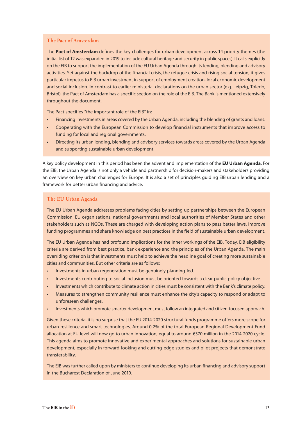#### The Pact of Amsterdam

The **Pact of Amsterdam** defines the key challenges for urban development across 14 priority themes (the initial list of 12 was expanded in 2019 to include cultural heritage and security in public spaces). It calls explicitly on the EIB to support the implementation of the EU Urban Agenda through its lending, blending and advisory activities. Set against the backdrop of the financial crisis, the refugee crisis and rising social tension, it gives particular impetus to EIB urban investment in support of employment creation, local economic development and social inclusion. In contrast to earlier ministerial declarations on the urban sector (e.g. Leipzig, Toledo, Bristol), the Pact of Amsterdam has a specific section on the role of the EIB. The Bank is mentioned extensively throughout the document.

The Pact specifies "the important role of the EIB" in:

- Financing investments in areas covered by the Urban Agenda, including the blending of grants and loans.
- Cooperating with the European Commission to develop financial instruments that improve access to funding for local and regional governments.
- Directing its urban lending, blending and advisory services towards areas covered by the Urban Agenda and supporting sustainable urban development.

A key policy development in this period has been the advent and implementation of the **EU Urban Agenda**. For the EIB, the Urban Agenda is not only a vehicle and partnership for decision-makers and stakeholders providing an overview on key urban challenges for Europe. It is also a set of principles guiding EIB urban lending and a framework for better urban financing and advice.

#### The EU Urban Agenda

The EU Urban Agenda addresses problems facing cities by setting up partnerships between the European Commission, EU organisations, national governments and local authorities of Member States and other stakeholders such as NGOs. These are charged with developing action plans to pass better laws, improve funding programmes and share knowledge on best practices in the field of sustainable urban development.

The EU Urban Agenda has had profound implications for the inner workings of the EIB. Today, EIB eligibility criteria are derived from best practice, bank experience and the principles of the Urban Agenda. The main overriding criterion is that investments must help to achieve the headline goal of creating more sustainable cities and communities. But other criteria are as follows:

- Investments in urban regeneration must be genuinely planning-led.
- Investments contributing to social inclusion must be oriented towards a clear public policy objective.
- Investments which contribute to climate action in cities must be consistent with the Bank's climate policy.
- Measures to strengthen community resilience must enhance the city's capacity to respond or adapt to unforeseen challenges.
- Investments which promote smarter development must follow an integrated and citizen-focused approach.

Given these criteria, it is no surprise that the EU 2014-2020 structural funds programme offers more scope for urban resilience and smart technologies. Around 0.2% of the total European Regional Development Fund allocation at EU level will now go to urban innovation, equal to around €370 million in the 2014-2020 cycle. This agenda aims to promote innovative and experimental approaches and solutions for sustainable urban development, especially in forward-looking and cutting-edge studies and pilot projects that demonstrate transferability.

The EIB was further called upon by ministers to continue developing its urban financing and advisory support in the Bucharest Declaration of June 2019.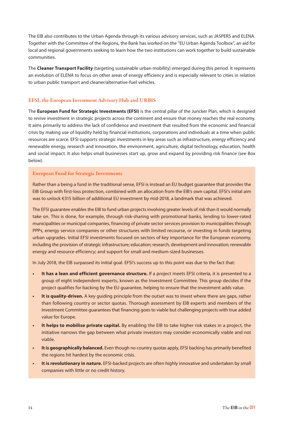The EIB also contributes to the Urban Agenda through its various advisory services, such as JASPERS and ELENA. Together with the Committee of the Regions, the Bank has worked on the "EU Urban Agenda Toolbox", an aid for local and regional governments seeking to learn how the two institutions can work together to build sustainable communities.

The **Cleaner Transport Facility** (targeting sustainable urban mobility) emerged during this period. It represents an evolution of ELENA to focus on other areas of energy efficiency and is especially relevant to cities in relation to urban public transport and cleaner/alternative-fuel vehicles.

## EFSI, the European Investment Advisory Hub and URBIS

The **European Fund for Strategic Investments (EFSI)** is the central pillar of the Juncker Plan, which is designed to revive investment in strategic projects across the continent and ensure that money reaches the real economy. It aims primarily to address the lack of confidence and investment that resulted from the economic and financial crisis by making use of liquidity held by financial institutions, corporations and individuals at a time when public resources are scarce. EFSI supports strategic investments in key areas such as infrastructure, energy efficiency and renewable energy, research and innovation, the environment, agriculture, digital technology, education, health and social impact. It also helps small businesses start up, grow and expand by providing risk finance (see Box below).

#### European Fund for Strategic Investments

Rather than a being a fund in the traditional sense, EFSI is instead an EU budget guarantee that provides the EIB Group with first-loss protection, combined with an allocation from the EIB's own capital. EFSI's initial aim was to unlock €315 billion of additional EU investment by mid-2018, a landmark that was achieved.

The EFSI guarantee enables the EIB to fund urban projects involving greater levels of risk than it would normally take on. This is done, for example, through risk-sharing with promotional banks, lending to lower-rated municipalities or municipal companies, financing of private sector services provision to municipalities through PPPs, energy service companies or other structures with limited recourse, or investing in funds targeting urban upgrades. Initial EFSI investments focused on sectors of key importance for the European economy, including the provision of strategic infrastructure; education; research, development and innovation; renewable energy and resource efficiency; and support for small and medium-sized businesses.

In July 2018, the EIB surpassed its initial goal. EFSI's success up to this point was due to the fact that:

- **• It has a lean and efficient governance structure.** If a project meets EFSI criteria, it is presented to a group of eight independent experts, known as the Investment Committee. This group decides if the project qualifies for backing by the EU guarantee, helping to ensure that the investment adds value.
- **• It is quality-driven.** A key guiding principle from the outset was to invest where there are gaps, rather than following country or sector quotas. Thorough assessment by EIB experts and members of the Investment Committee guarantees that financing goes to viable but challenging projects with true added value for Europe.
- **• It helps to mobilise private capital.** By enabling the EIB to take higher risk stakes in a project, the initiative narrows the gap between what private investors may consider economically viable and not viable.
- **• It is geographically balanced.** Even though no country quotas apply, EFSI backing has primarily benefited the regions hit hardest by the economic crisis.
- **• It is revolutionary in nature.** EFSI-backed projects are often highly innovative and undertaken by small companies with little or no credit history.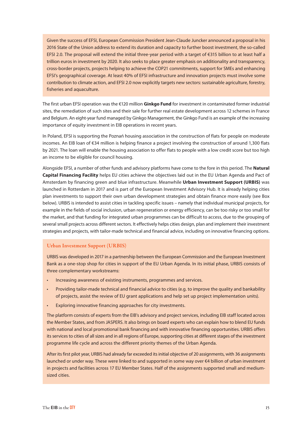Given the success of EFSI, European Commission President Jean-Claude Juncker announced a proposal in his 2016 State of the Union address to extend its duration and capacity to further boost investment, the so-called EFSI 2.0. The proposal will extend the initial three-year period with a target of €315 billion to at least half a trillion euros in investment by 2020. It also seeks to place greater emphasis on additionality and transparency, cross-border projects, projects helping to achieve the COP21 commitments, support for SMEs and enhancing EFSI's geographical coverage. At least 40% of EFSI infrastructure and innovation projects must involve some contribution to climate action, and EFSI 2.0 now explicitly targets new sectors: sustainable agriculture, forestry, fisheries and aquaculture.

The first urban EFSI operation was the €120 million **Ginkgo Fund** for investment in contaminated former industrial sites, the remediation of such sites and their sale for further real estate development across 12 schemes in France and Belgium. An eight-year fund managed by Ginkgo Management, the Ginkgo Fund is an example of the increasing importance of equity investment in EIB operations in recent years.

In Poland, EFSI is supporting the Poznań housing association in the construction of flats for people on moderate incomes. An EIB loan of €34 million is helping finance a project involving the construction of around 1,300 flats by 2021. The loan will enable the housing association to offer flats to people with a low credit score but too high an income to be eligible for council housing.

Alongside EFSI, a number of other funds and advisory platforms have come to the fore in this period. The **Natural Capital Financing Facility** helps EU cities achieve the objectives laid out in the EU Urban Agenda and Pact of Amsterdam by financing green and blue infrastructure. Meanwhile **Urban Investment Support (URBIS)** was launched in Rotterdam in 2017 and is part of the European Investment Advisory Hub. It is already helping cities plan investments to support their own urban development strategies and obtain finance more easily (see Box below). URBIS is intended to assist cities in tackling specific issues – namely that individual municipal projects, for example in the fields of social inclusion, urban regeneration or energy efficiency, can be too risky or too small for the market, and that funding for integrated urban programmes can be difficult to access, due to the grouping of several small projects across different sectors. It effectively helps cities design, plan and implement their investment strategies and projects, with tailor-made technical and financial advice, including on innovative financing options.

## Urban Investment Support (URBIS)

URBIS was developed in 2017 in a partnership between the European Commission and the European Investment Bank as a one-stop shop for cities in support of the EU Urban Agenda. In its initial phase, URBIS consists of three complementary workstreams:

- Increasing awareness of existing instruments, programmes and services.
- Providing tailor-made technical and financial advice to cities (e.g. to improve the quality and bankability of projects, assist the review of EU grant applications and help set up project implementation units).
- Exploring innovative financing approaches for city investments.

The platform consists of experts from the EIB's advisory and project services, including EIB staff located across the Member States, and from JASPERS. It also brings on board experts who can explain how to blend EU funds with national and local promotional bank financing and with innovative financing opportunities. URBIS offers its services to cities of all sizes and in all regions of Europe, supporting cities at different stages of the investment programme life cycle and across the different priority themes of the Urban Agenda.

After its first pilot year, URBIS had already far exceeded its initial objective of 20 assignments, with 36 assignments launched or under way. These were linked to and supported in some way over €4 billion of urban investment in projects and facilities across 17 EU Member States. Half of the assignments supported small and mediumsized cities.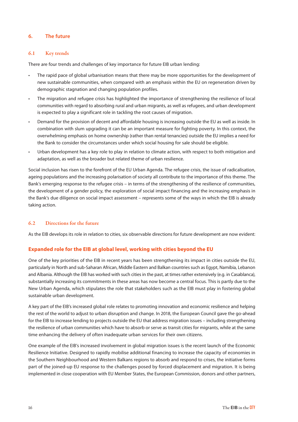## **6. The future**

## 6.1 Key trends

There are four trends and challenges of key importance for future EIB urban lending:

- The rapid pace of global urbanisation means that there may be more opportunities for the development of new sustainable communities, when compared with an emphasis within the EU on regeneration driven by demographic stagnation and changing population profiles.
- The migration and refugee crisis has highlighted the importance of strengthening the resilience of local communities with regard to absorbing rural and urban migrants, as well as refugees, and urban development is expected to play a significant role in tackling the root causes of migration.
- Demand for the provision of decent and affordable housing is increasing outside the EU as well as inside. In combination with slum upgrading it can be an important measure for fighting poverty. In this context, the overwhelming emphasis on home ownership (rather than rental tenancies) outside the EU implies a need for the Bank to consider the circumstances under which social housing for sale should be eligible.
- Urban development has a key role to play in relation to climate action, with respect to both mitigation and adaptation, as well as the broader but related theme of urban resilience.

Social inclusion has risen to the forefront of the EU Urban Agenda. The refugee crisis, the issue of radicalisation, ageing populations and the increasing polarisation of society all contribute to the importance of this theme. The Bank's emerging response to the refugee crisis – in terms of the strengthening of the resilience of communities, the development of a gender policy, the exploration of social impact financing and the increasing emphasis in the Bank's due diligence on social impact assessment – represents some of the ways in which the EIB is already taking action.

# 6.2 Directions for the future

As the EIB develops its role in relation to cities, six observable directions for future development are now evident:

# **Expanded role for the EIB at global level, working with cities beyond the EU**

One of the key priorities of the EIB in recent years has been strengthening its impact in cities outside the EU, particularly in North and sub-Saharan African, Middle Eastern and Balkan countries such as Egypt, Namibia, Lebanon and Albania. Although the EIB has worked with such cities in the past, at times rather extensively (e.g. in Casablanca), substantially increasing its commitments in these areas has now become a central focus. This is partly due to the New Urban Agenda, which stipulates the role that stakeholders such as the EIB must play in fostering global sustainable urban development.

A key part of the EIB's increased global role relates to promoting innovation and economic resilience and helping the rest of the world to adjust to urban disruption and change. In 2018, the European Council gave the go-ahead for the EIB to increase lending to projects outside the EU that address migration issues – including strengthening the resilience of urban communities which have to absorb or serve as transit cities for migrants, while at the same time enhancing the delivery of often inadequate urban services for their own citizens.

One example of the EIB's increased involvement in global migration issues is the recent launch of the Economic Resilience Initiative. Designed to rapidly mobilise additional financing to increase the capacity of economies in the Southern Neighbourhood and Western Balkans regions to absorb and respond to crises, the initiative forms part of the joined-up EU response to the challenges posed by forced displacement and migration. It is being implemented in close cooperation with EU Member States, the European Commission, donors and other partners,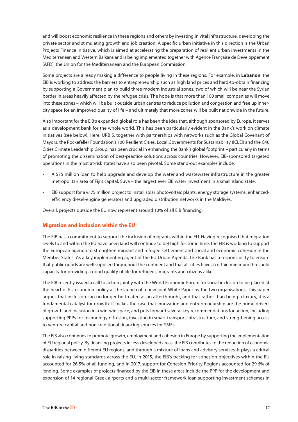and will boost economic resilience in these regions and others by investing in vital infrastructure, developing the private sector and stimulating growth and job creation. A specific urban initiative in this direction is the Urban Projects Finance Initiative, which is aimed at accelerating the preparation of resilient urban investments in the Mediterranean and Western Balkans and is being implemented together with Agence Française de Développement (AFD), the Union for the Mediterranean and the European Commission.

Some projects are already making a difference to people living in these regions. For example, in **Lebanon**, the EIB is working to address the barriers to entrepreneurship such as high land prices and hard-to-obtain financing by supporting a Government plan to build three modern industrial zones, two of which will be near the Syrian border in areas heavily affected by the refugee crisis. The hope is that more than 100 small companies will move into these zones – which will be built outside urban centres to reduce pollution and congestion and free up innercity space for an improved quality of life – and ultimately that more zones will be built nationwide in the future.

Also important for the EIB's expanded global role has been the idea that, although sponsored by Europe, it serves as a development bank for the whole world. This has been particularly evident in the Bank's work on climate initiatives (see below). Here, URBIS, together with partnerships with networks such as the Global Covenant of Mayors, the Rockefeller Foundation's 100 Resilient Cities, Local Governments for Sustainability (ICLEI) and the C40 Cities Climate Leadership Group, has been crucial in enhancing the Bank's global footprint – particularly in terms of promoting the dissemination of best-practice solutions across countries. However, EIB-sponsored targeted operations in the most at-risk states have also been pivotal. Some stand-out examples include:

- A \$75 million loan to help upgrade and develop the water and wastewater infrastructure in the greater metropolitan area of Fiji's capital, Suva – the largest ever EIB water investment in a small island state.
- EIB support for a €175 million project to install solar photovoltaic plants, energy storage systems, enhancedefficiency diesel-engine generators and upgraded distribution networks in the Maldives.

Overall, projects outside the EU now represent around 10% of all EIB financing.

## **Migration and inclusion within the EU**

The EIB has a commitment to support the inclusion of migrants within the EU. Having recognised that migration levels to and within the EU have been (and will continue to be) high for some time, the EIB is working to support the European agenda to strengthen migrant and refugee settlement and social and economic cohesion in the Member States. As a key implementing agent of the EU Urban Agenda, the Bank has a responsibility to ensure that public goods are well supplied throughout the continent and that all cities have a certain minimum threshold capacity for providing a good quality of life for refugees, migrants and citizens alike.

The EIB recently issued a call to action jointly with the World Economic Forum for social inclusion to be placed at the heart of EU economic policy at the launch of a new joint White Paper by the two organisations. This paper argues that inclusion can no longer be treated as an afterthought, and that rather than being a luxury, it is a fundamental catalyst for growth. It makes the case that innovation and entrepreneurship are the prime drivers of growth and inclusion in a win-win space, and puts forward several key recommendations for action, including supporting PPPs for technology diffusion, investing in smart transport infrastructure, and strengthening access to venture capital and non-traditional financing sources for SMEs.

The EIB also continues to promote growth, employment and cohesion in Europe by supporting the implementation of EU regional policy. By financing projects in less-developed areas, the EIB contributes to the reduction of economic disparities between different EU regions, and through a mixture of loans and advisory services, it plays a critical role in raising living standards across the EU. In 2015, the EIB's backing for cohesion objectives within the EU accounted for 26.5% of all funding, and in 2017, support for Cohesion Priority Regions accounted for 29.6% of lending. Some examples of projects financed by the EIB in these areas include the PPP for the development and expansion of 14 regional Greek airports and a multi-sector framework loan supporting investment schemes in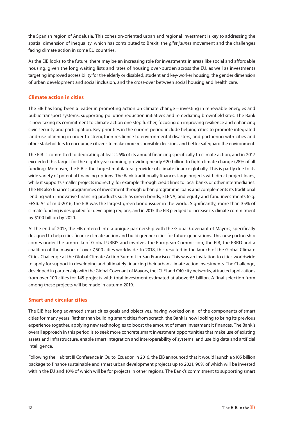the Spanish region of Andalusia. This cohesion-oriented urban and regional investment is key to addressing the spatial dimension of inequality, which has contributed to Brexit, the *gilet jaunes* movement and the challenges facing climate action in some EU countries.

As the EIB looks to the future, there may be an increasing role for investments in areas like social and affordable housing, given the long waiting lists and rates of housing over-burden across the EU, as well as investments targeting improved accessibility for the elderly or disabled, student and key-worker housing, the gender dimension of urban development and social inclusion, and the cross-over between social housing and health care.

## **Climate action in cities**

The EIB has long been a leader in promoting action on climate change – investing in renewable energies and public transport systems, supporting pollution reduction initiatives and remediating brownfield sites. The Bank is now taking its commitment to climate action one step further, focusing on improving resilience and enhancing civic security and participation. Key priorities in the current period include helping cities to promote integrated land-use planning in order to strengthen resilience to environmental disasters, and partnering with cities and other stakeholders to encourage citizens to make more responsible decisions and better safeguard the environment.

The EIB is committed to dedicating at least 25% of its annual financing specifically to climate action, and in 2017 exceeded this target for the eighth year running, providing nearly €20 billion to fight climate change (28% of all funding). Moreover, the EIB is the largest multilateral provider of climate finance globally. This is partly due to its wide variety of potential financing options. The Bank traditionally finances large projects with direct project loans, while it supports smaller projects indirectly, for example through credit lines to local banks or other intermediaries. The EIB also finances programmes of investment through urban programme loans and complements its traditional lending with innovative financing products such as green bonds, ELENA, and equity and fund investments (e.g. EFSI). As of mid-2016, the EIB was the largest green bond issuer in the world. Significantly, more than 35% of climate funding is designated for developing regions, and in 2015 the EIB pledged to increase its climate commitment by \$100 billion by 2020.

At the end of 2017, the EIB entered into a unique partnership with the Global Covenant of Mayors, specifically designed to help cities finance climate action and build greener cities for future generations. This new partnership comes under the umbrella of Global URBIS and involves the European Commission, the EIB, the EBRD and a coalition of the mayors of over 7,500 cities worldwide. In 2018, this resulted in the launch of the Global Climate Cities Challenge at the Global Climate Action Summit in San Francisco. This was an invitation to cities worldwide to apply for support in developing and ultimately financing their urban climate action investments. The Challenge, developed in partnership with the Global Covenant of Mayors, the ICLEI and C40 city networks, attracted applications from over 100 cities for 145 projects with total investment estimated at above €5 billion. A final selection from among these projects will be made in autumn 2019.

# **Smart and circular cities**

The EIB has long advanced smart cities goals and objectives, having worked on all of the components of smart cities for many years. Rather than building smart cities from scratch, the Bank is now looking to bring its previous experience together, applying new technologies to boost the amount of smart investment it finances. The Bank's overall approach in this period is to seek more concrete smart investment opportunities that make use of existing assets and infrastructure, enable smart integration and interoperability of systems, and use big data and artificial intelligence.

Following the Habitat III Conference in Quito, Ecuador, in 2016, the EIB announced that it would launch a \$105 billion package to finance sustainable and smart urban development projects up to 2021, 90% of which will be invested within the EU and 10% of which will be for projects in other regions. The Bank's commitment to supporting smart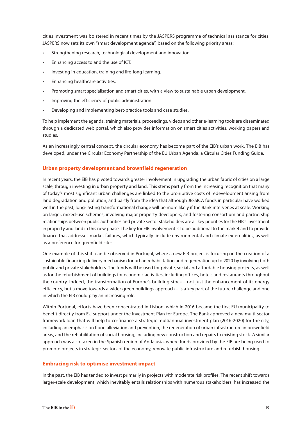cities investment was bolstered in recent times by the JASPERS programme of technical assistance for cities. JASPERS now sets its own "smart development agenda", based on the following priority areas:

- Strengthening research, technological development and innovation.
- Enhancing access to and the use of ICT.
- Investing in education, training and life-long learning.
- Enhancing healthcare activities.
- Promoting smart specialisation and smart cities, with a view to sustainable urban development.
- Improving the efficiency of public administration.
- Developing and implementing best-practice tools and case studies.

To help implement the agenda, training materials, proceedings, videos and other e-learning tools are disseminated through a dedicated web portal, which also provides information on smart cities activities, working papers and studies.

As an increasingly central concept, the circular economy has become part of the EIB's urban work. The EIB has developed, under the Circular Economy Partnership of the EU Urban Agenda, a Circular Cities Funding Guide.

#### **Urban property development and brownfield regeneration**

In recent years, the EIB has pivoted towards greater involvement in upgrading the urban fabric of cities on a large scale, through investing in urban property and land. This stems partly from the increasing recognition that many of today's most significant urban challenges are linked to the prohibitive costs of redevelopment arising from land degradation and pollution, and partly from the idea that although JESSICA funds in particular have worked well in the past, long-lasting transformational change will be more likely if the Bank intervenes at scale. Working on larger, mixed-use schemes, involving major property developers, and fostering consortium and partnership relationships between public authorities and private sector stakeholders are all key priorities for the EIB's investment in property and land in this new phase. The key for EIB involvement is to be additional to the market and to provide finance that addresses market failures, which typically include environmental and climate externalities, as well as a preference for greenfield sites.

One example of this shift can be observed in Portugal, where a new EIB project is focusing on the creation of a sustainable financing delivery mechanism for urban rehabilitation and regeneration up to 2020 by involving both public and private stakeholders. The funds will be used for private, social and affordable housing projects, as well as for the refurbishment of buildings for economic activities, including offices, hotels and restaurants throughout the country. Indeed, the transformation of Europe's building stock – not just the enhancement of its energy efficiency, but a move towards a wider green buildings approach – is a key part of the future challenge and one in which the EIB could play an increasing role.

Within Portugal, efforts have been concentrated in Lisbon, which in 2016 became the first EU municipality to benefit directly from EU support under the Investment Plan for Europe. The Bank approved a new multi-sector framework loan that will help to co-finance a strategic multiannual investment plan (2016-2020) for the city, including an emphasis on flood alleviation and prevention, the regeneration of urban infrastructure in brownfield areas, and the rehabilitation of social housing, including new construction and repairs to existing stock. A similar approach was also taken in the Spanish region of Andalusia, where funds provided by the EIB are being used to promote projects in strategic sectors of the economy, renovate public infrastructure and refurbish housing.

#### **Embracing risk to optimise investment impact**

In the past, the EIB has tended to invest primarily in projects with moderate risk profiles. The recent shift towards larger-scale development, which inevitably entails relationships with numerous stakeholders, has increased the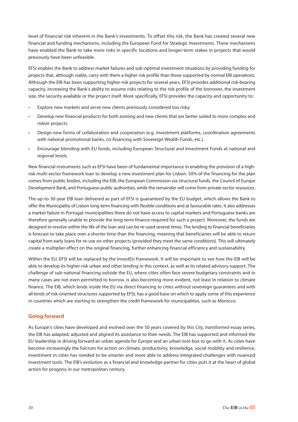level of financial risk inherent in the Bank's investments. To offset this risk, the Bank has created several new financial and funding mechanisms, including the European Fund for Strategic Investments. These mechanisms have enabled the Bank to take more risks in specific locations and longer-term stakes in projects that would previously have been unfeasible.

EFSI enables the Bank to address market failures and sub-optimal investment situations by providing funding for projects that, although viable, carry with them a higher risk profile than those supported by normal EIB operations. Although the EIB has been supporting higher-risk projects for several years, EFSI provides additional risk-bearing capacity, increasing the Bank's ability to assume risks relating to the risk profile of the borrower, the investment size, the security available or the project itself. More specifically, EFSI provides the capacity and opportunity to:

- Explore new markets and serve new clients previously considered too risky.
- Develop new financial products for both existing and new clients that are better suited to more complex and riskier projects.
- Design new forms of collaboration and cooperation (e.g. investment platforms, coordination agreements with national promotional banks, co-financing with Sovereign Wealth Funds, etc.).
- Encourage blending with EU funds, including European Structural and Investment Funds at national and regional levels.

New financial instruments such as EFSI have been of fundamental importance in enabling the provision of a highrisk multi-sector framework loan to develop a new investment plan for Lisbon. 50% of the financing for the plan comes from public bodies, including the EIB, the European Commission via structural funds, the Council of Europe Development Bank, and Portuguese public authorities, while the remainder will come from private sector resources.

The up-to-30-year EIB loan delivered as part of EFSI is guaranteed by the EU budget, which allows the Bank to offer the Municipality of Lisbon long-term financing with flexible conditions and at favourable rates. It also addresses a market failure in Portugal: municipalities there do not have access to capital markets and Portuguese banks are therefore generally unable to provide the long-term finance required for such a project. Moreover, the funds are designed to revolve within the life of the loan and can be re-used several times. The lending to financial beneficiaries is forecast to take place over a shorter time than the financing, meaning that beneficiaries will be able to return capital from early loans for re-use on other projects (provided they meet the same conditions). This will ultimately create a multiplier effect on the original financing, further enhancing financial efficiency and sustainability.

Within the EU, EFSI will be replaced by the InvestEU framework. It will be important to see how the EIB will be able to develop its higher-risk urban and other lending in this context, as well as its related advisory support. The challenge of sub-national financing outside the EU, where cities often face severe budgetary constraints and in many cases are not even permitted to borrow, is also becoming more evident, not least in relation to climate finance. The EIB, which lends inside the EU via direct financing to cities without sovereign guarantees and with all kinds of risk-oriented structures supported by EFSI, has a good base on which to apply some of this experience in countries which are starting to strengthen the credit framework for municipalities, such as Morocco.

# **Going forward**

As Europe's cities have developed and evolved over the 50 years covered by this *City, transformed* essay series, the EIB has adapted, adjusted and aligned its assistance to their needs. The EIB has supported and informed the EU leadership in driving forward an urban agenda for Europe and an urban tool-box to go with it. As cities have become increasingly the fulcrum for action on climate, productivity, knowledge, social mobility and resilience, investment in cities has needed to be smarter and more able to address integrated challenges with nuanced investment tools. The EIB's evolution as a financial and knowledge partner for cities puts it at the heart of global action for progress in our metropolitan century.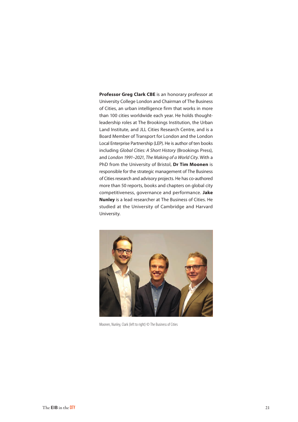**Professor Greg Clark CBE** is an honorary professor at University College London and Chairman of The Business of Cities, an urban intelligence firm that works in more than 100 cities worldwide each year. He holds thoughtleadership roles at The Brookings Institution, the Urban Land Institute, and JLL Cities Research Centre, and is a Board Member of Transport for London and the London Local Enterprise Partnership (LEP). He is author of ten books including *Global Cities: A Short History* (Brookings Press), and *London 1991–2021*, *The Making of a World City*. With a PhD from the University of Bristol, **Dr Tim Moonen** is responsible for the strategic management of The Business of Cities research and advisory projects. He has co-authored more than 50 reports, books and chapters on global city competitiveness, governance and performance. **Jake Nunley** is a lead researcher at The Business of Cities. He studied at the University of Cambridge and Harvard University.



Moonen, Nunley, Clark (left to right) © The Business of Cities